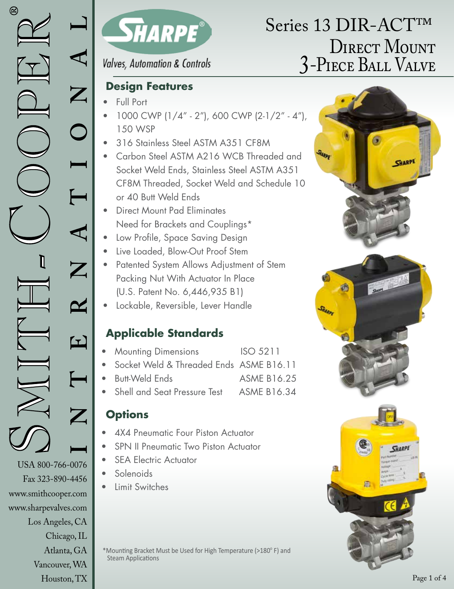www.sharpevalves.com

Los Angeles, CA

Chicago, IL Atlanta, GA Vancouver, WA Houston, TX



### **Valves, Automation & Controls**

### **Design Features**

- Full Port
- 1000 CWP (1/4" 2"), 600 CWP (2-1/2" 4"), 150 WSP
- 316 Stainless Steel ASTM A351 CF8M
- Carbon Steel ASTM A216 WCB Threaded and Socket Weld Ends, Stainless Steel ASTM A351 CF8M Threaded, Socket Weld and Schedule 10 or 40 Butt Weld Ends
- Direct Mount Pad Eliminates Need for Brackets and Couplings\*
- Low Profile, Space Saving Design
- Live Loaded, Blow-Out Proof Stem
- Patented System Allows Adjustment of Stem Packing Nut With Actuator In Place (U.S. Patent No. 6,446,935 B1)
- Lockable, Reversible, Lever Handle

## **Applicable Standards**

- **Mounting Dimensions** ISO 5211
	- Socket Weld & Threaded Ends ASME B16.11
- Butt-Weld Ends ASME B16.25
- Shell and Seat Pressure Test ASME B16.34

## **Options**

- 4X4 Pneumatic Four Piston Actuator
- SPN II Pneumatic Two Piston Actuator
- **SEA Electric Actuator**
- Solenoids
- Limit Switches

\*Mounting Bracket Must be Used for High Temperature (>180°F) and Steam Applications

# DIRECT MOUNT 3-Piece Ball Valve Series 13 DIR-ACT™

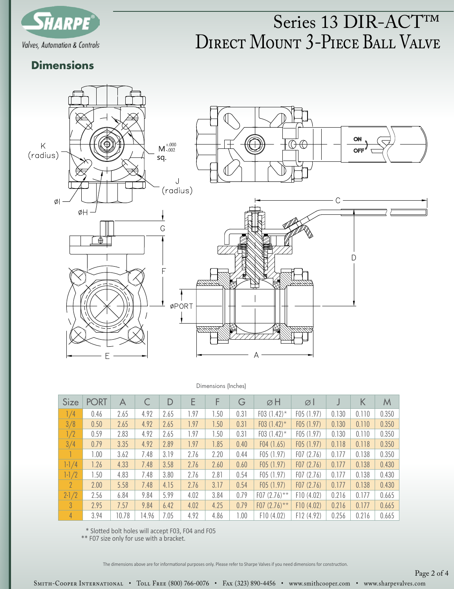

# DIRECT MOUNT 3-PIECE BALL VALVE Series 13 DIR-ACT™

### **Dimensions**



#### Dimensions (Inches)

| <b>Size</b>    | <b>PORT</b> | A     |       | D    | E    | F    | G    | øΗ              | ØΙ        |       | К     | M     |
|----------------|-------------|-------|-------|------|------|------|------|-----------------|-----------|-------|-------|-------|
| 1/4            | 0.46        | 2.65  | 4.92  | 2.65 | 1.97 | 1.50 | 0.31 | F03 $(1.42)^*$  | F05(1.97) | 0.130 | 0.110 | 0.350 |
| 3/8            | 0.50        | 2.65  | 4.92  | 2.65 | 1.97 | 1.50 | 0.31 | F03 $(1.42)$ *  | F05(1.97) | 0.130 | 0.110 | 0.350 |
| 1/2            | 0.59        | 2.83  | 4.92  | 2.65 | 1.97 | 1.50 | 0.31 | F03 $(1.42)^*$  | F05(1.97) | 0.130 | 0.110 | 0.350 |
| 3/4            | 0.79        | 3.35  | 4.92  | 2.89 | 1.97 | 1.85 | 0.40 | F04(1.65)       | F05(1.97) | 0.118 | 0.118 | 0.350 |
|                | 1.00        | 3.62  | 7.48  | 3.19 | 2.76 | 2.20 | 0.44 | F05(1.97)       | F07(2.76) | 0.177 | 0.138 | 0.350 |
| $1 - 1/4$      | 1.26        | 4.33  | 7.48  | 3.58 | 2.76 | 2.60 | 0.60 | F05(1.97)       | F07(2.76) | 0.177 | 0.138 | 0.430 |
| $1 - 1/2$      | 1.50        | 4.83  | 7.48  | 3.80 | 2.76 | 2.81 | 0.54 | F05(1.97)       | F07(2.76) | 0.177 | 0.138 | 0.430 |
| 2 <sup>1</sup> | 2.00        | 5.58  | 7.48  | 4.15 | 2.76 | 3.17 | 0.54 | F05(1.97)       | F07(2.76) | 0.177 | 0.138 | 0.430 |
| $2 - 1/2$      | 2.56        | 6.84  | 9.84  | 5.99 | 4.02 | 3.84 | 0.79 | $F07 (2.76)$ ** | F10(4.02) | 0.216 | 0.177 | 0.665 |
| $\mathbf{3}$   | 2.95        | 7.57  | 9.84  | 6.42 | 4.02 | 4.25 | 0.79 | F07 $(2.76)$ ** | F10(4.02) | 0.216 | 0.177 | 0.665 |
| $\overline{4}$ | 3.94        | 10.78 | 14.96 | 7.05 | 4.92 | 4.86 | 1.00 | F10(4.02)       | F12(4.92) | 0.256 | 0.216 | 0.665 |

\* Slotted bolt holes will accept F03, F04 and F05

\*\* F07 size only for use with a bracket.

The dimensions above are for informational purposes only. Please refer to Sharpe Valves if you need dimensions for construction.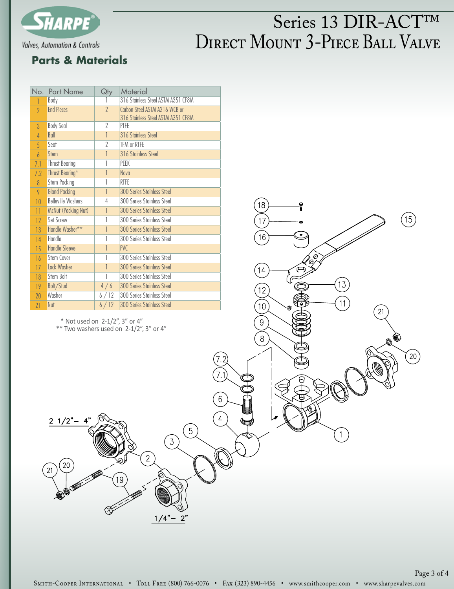

# DIRECT MOUNT 3-PIECE BALL VALVE Series 13 DIR-ACT™

13

11

1

18

 $17$ 

16

12

 $10$ 

 $\overline{9}$ 

 $\,8\,$ 

### **Parts & Materials**

| No.            | <b>Part Name</b>           | Qty            | Material                                                            |
|----------------|----------------------------|----------------|---------------------------------------------------------------------|
|                | Body                       |                | 316 Stainless Steel ASTM A351 CF8M                                  |
| $\overline{?}$ | <b>End Pieces</b>          | $\overline{2}$ | Carbon Steel ASTM A216 WCB or<br>316 Stainless Steel ASTM A351 CF8M |
| $\mathcal{S}$  | <b>Body Seal</b>           | $\overline{2}$ | <b>PTFE</b>                                                         |
| $\overline{4}$ | Ball                       | 1              | 316 Stainless Steel                                                 |
| 5              | Seat                       | 2              | TFM or RTFE                                                         |
| $\overline{6}$ | Stem                       | 1              | 316 Stainless Steel                                                 |
| 7.1            | <b>Thrust Bearing</b>      | 1              | PEEK                                                                |
| 7.2            | Thrust Bearing*            | 1              | Nova                                                                |
| $\overline{R}$ | <b>Stem Packing</b>        | 1              | <b>RTFE</b>                                                         |
| 9              | <b>Gland Packing</b>       | 1              | <b>300 Series Stainless Steel</b>                                   |
| 10             | <b>Belleville Washers</b>  | 4              | 300 Series Stainless Steel                                          |
| 11             | <b>McNut (Packing Nut)</b> | 1              | <b>300 Series Stainless Steel</b>                                   |
| 12             | <b>Set Screw</b>           | 1              | 300 Series Stainless Steel                                          |
| 13             | Handle Washer**            | 1              | <b>300 Series Stainless Steel</b>                                   |
| 14             | Handle                     | 1              | 300 Series Stainless Steel                                          |
| 15             | <b>Handle Sleeve</b>       | 1              | <b>PVC</b>                                                          |
| 16             | <b>Stem Cover</b>          |                | 300 Series Stainless Steel                                          |
| 17             | Lock Washer                | 1              | <b>300 Series Stainless Steel</b>                                   |
| 18             | Stem Bolt                  | 1              | 300 Series Stainless Steel                                          |
| 19             | Bolt/Stud                  | 4/6            | <b>300 Series Stainless Steel</b>                                   |
| 20             | Washer                     | 6/12           | 300 Series Stainless Steel                                          |
| 21             | Nut                        | 6/12           | <b>300 Series Stainless Steel</b>                                   |

\* Not used on 2-1/2", 3" or 4"

 $2 \frac{1}{2} - 4$ 

 $**$  Two washers used on 2-1/2", 3" or 4"

 $6\phantom{a}$ 

 $\overline{4}$ 

 $\sqrt{5}$ 

 $\left(3\right)$ 

 $1/4"$ 

 $2"$ 

 $\overline{2}$ 

Page 3 of 4

 $\left(15\right)$ 

 $\left( 20\right)$